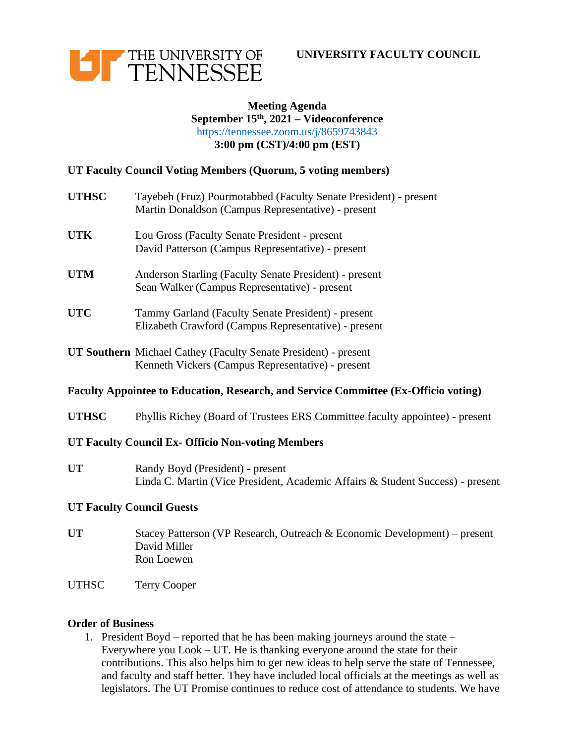



## **Meeting Agenda September 15th, 2021 – Videoconference** <https://tennessee.zoom.us/j/8659743843> **3:00 pm (CST)/4:00 pm (EST)**

# **UT Faculty Council Voting Members (Quorum, 5 voting members)**

| <b>UTHSC</b> | Tayebeh (Fruz) Pourmotabbed (Faculty Senate President) - present<br>Martin Donaldson (Campus Representative) - present      |
|--------------|-----------------------------------------------------------------------------------------------------------------------------|
| <b>UTK</b>   | Lou Gross (Faculty Senate President - present<br>David Patterson (Campus Representative) - present                          |
| <b>UTM</b>   | Anderson Starling (Faculty Senate President) - present<br>Sean Walker (Campus Representative) - present                     |
| <b>UTC</b>   | Tammy Garland (Faculty Senate President) - present<br>Elizabeth Crawford (Campus Representative) - present                  |
|              | <b>UT Southern</b> Michael Cathey (Faculty Senate President) - present<br>Kenneth Vickers (Campus Representative) - present |

#### **Faculty Appointee to Education, Research, and Service Committee (Ex-Officio voting)**

**UTHSC** Phyllis Richey (Board of Trustees ERS Committee faculty appointee) - present

## **UT Faculty Council Ex- Officio Non-voting Members**

**UT** Randy Boyd (President) - present Linda C. Martin (Vice President, Academic Affairs & Student Success) - present

## **UT Faculty Council Guests**

- **UT** Stacey Patterson (VP Research, Outreach & Economic Development) present David Miller Ron Loewen
- UTHSC Terry Cooper

#### **Order of Business**

1. President Boyd – reported that he has been making journeys around the state – Everywhere you Look – UT. He is thanking everyone around the state for their contributions. This also helps him to get new ideas to help serve the state of Tennessee, and faculty and staff better. They have included local officials at the meetings as well as legislators. The UT Promise continues to reduce cost of attendance to students. We have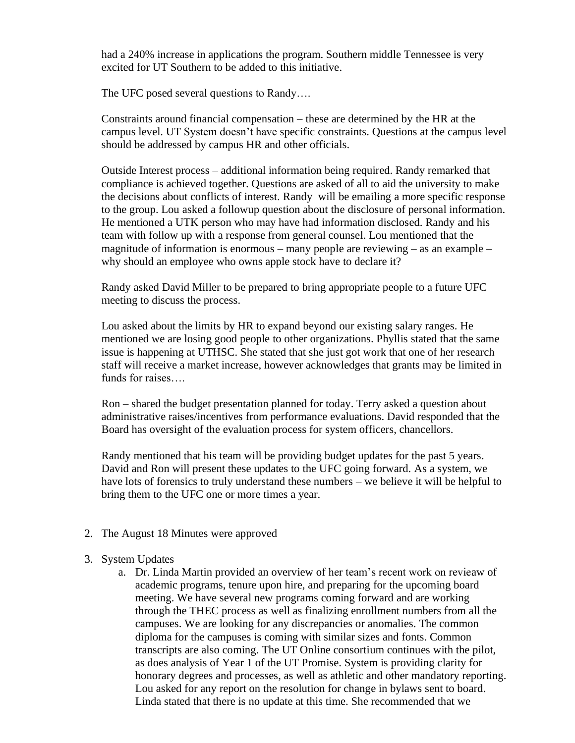had a 240% increase in applications the program. Southern middle Tennessee is very excited for UT Southern to be added to this initiative.

The UFC posed several questions to Randy….

Constraints around financial compensation – these are determined by the HR at the campus level. UT System doesn't have specific constraints. Questions at the campus level should be addressed by campus HR and other officials.

Outside Interest process – additional information being required. Randy remarked that compliance is achieved together. Questions are asked of all to aid the university to make the decisions about conflicts of interest. Randy will be emailing a more specific response to the group. Lou asked a followup question about the disclosure of personal information. He mentioned a UTK person who may have had information disclosed. Randy and his team with follow up with a response from general counsel. Lou mentioned that the magnitude of information is enormous – many people are reviewing – as an example – why should an employee who owns apple stock have to declare it?

Randy asked David Miller to be prepared to bring appropriate people to a future UFC meeting to discuss the process.

Lou asked about the limits by HR to expand beyond our existing salary ranges. He mentioned we are losing good people to other organizations. Phyllis stated that the same issue is happening at UTHSC. She stated that she just got work that one of her research staff will receive a market increase, however acknowledges that grants may be limited in funds for raises….

Ron – shared the budget presentation planned for today. Terry asked a question about administrative raises/incentives from performance evaluations. David responded that the Board has oversight of the evaluation process for system officers, chancellors.

Randy mentioned that his team will be providing budget updates for the past 5 years. David and Ron will present these updates to the UFC going forward. As a system, we have lots of forensics to truly understand these numbers – we believe it will be helpful to bring them to the UFC one or more times a year.

2. The August 18 Minutes were approved

## 3. System Updates

a. Dr. Linda Martin provided an overview of her team's recent work on revieaw of academic programs, tenure upon hire, and preparing for the upcoming board meeting. We have several new programs coming forward and are working through the THEC process as well as finalizing enrollment numbers from all the campuses. We are looking for any discrepancies or anomalies. The common diploma for the campuses is coming with similar sizes and fonts. Common transcripts are also coming. The UT Online consortium continues with the pilot, as does analysis of Year 1 of the UT Promise. System is providing clarity for honorary degrees and processes, as well as athletic and other mandatory reporting. Lou asked for any report on the resolution for change in bylaws sent to board. Linda stated that there is no update at this time. She recommended that we